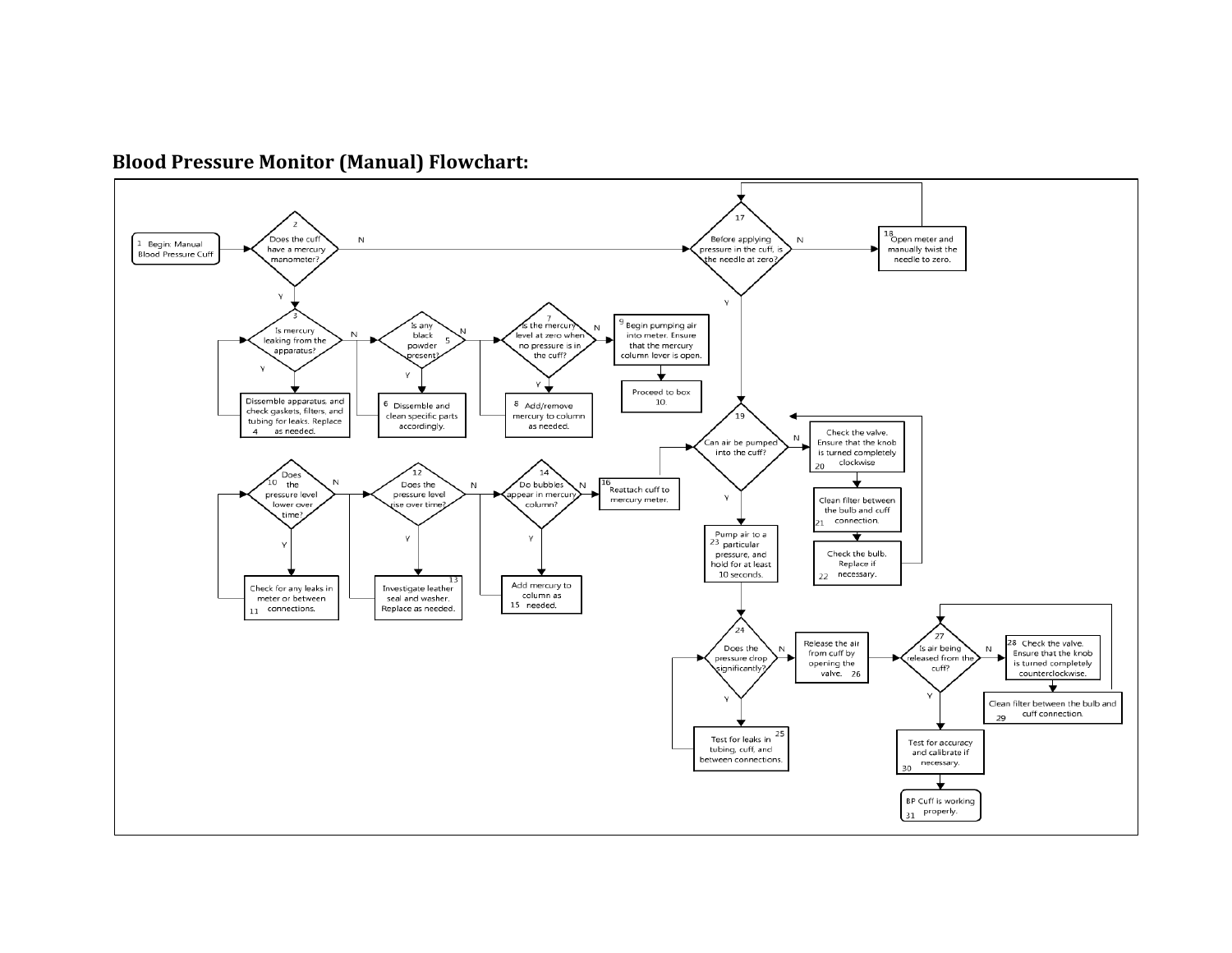**Blood Pressure Monitor (Manual) Flowchart:**

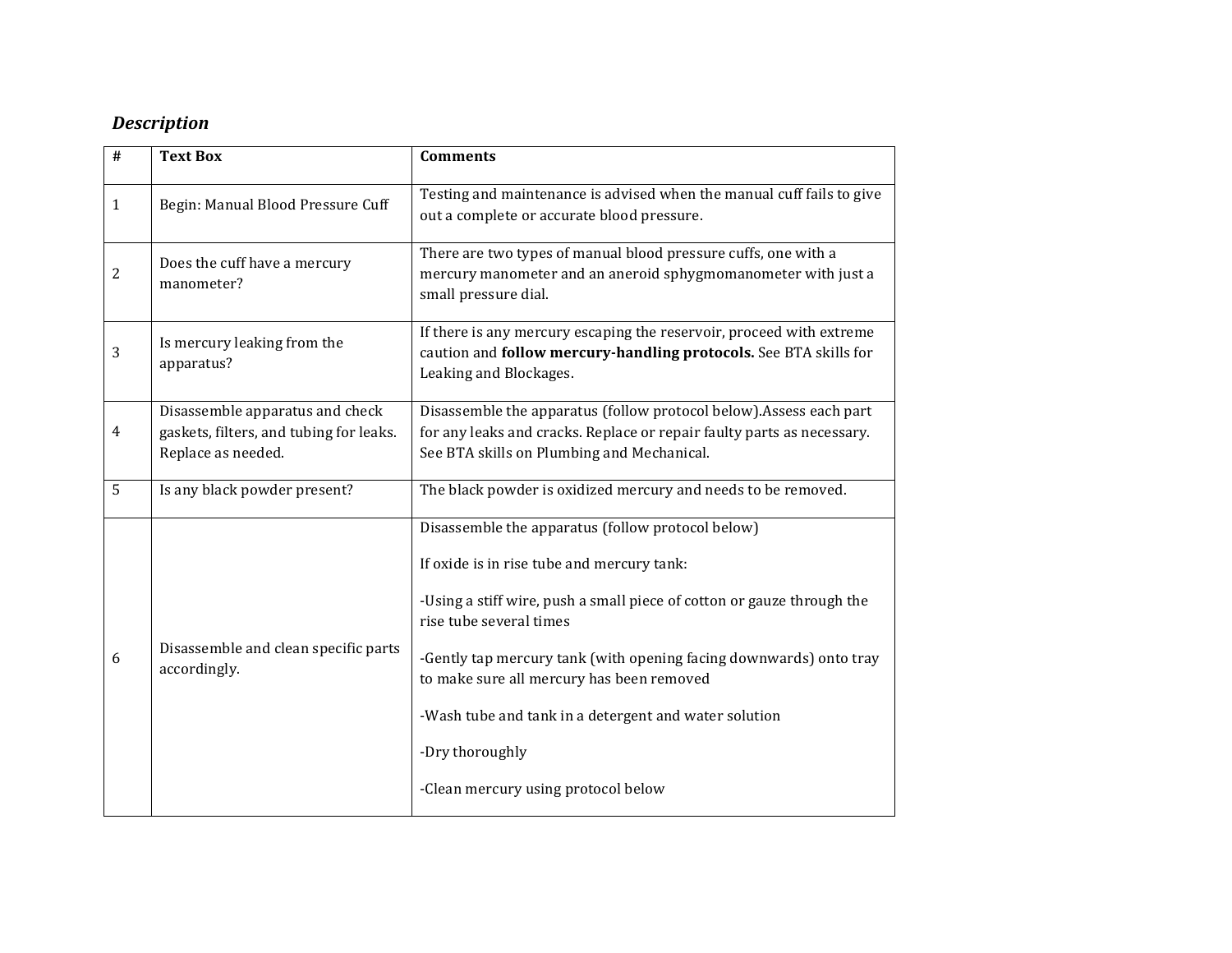## *Description*

| $\overline{\mathbf{H}}$ | <b>Text Box</b>                                                                                  | <b>Comments</b>                                                                                                                                                                                                                                                                                                                                                                                                                            |
|-------------------------|--------------------------------------------------------------------------------------------------|--------------------------------------------------------------------------------------------------------------------------------------------------------------------------------------------------------------------------------------------------------------------------------------------------------------------------------------------------------------------------------------------------------------------------------------------|
| $\mathbf{1}$            | Begin: Manual Blood Pressure Cuff                                                                | Testing and maintenance is advised when the manual cuff fails to give<br>out a complete or accurate blood pressure.                                                                                                                                                                                                                                                                                                                        |
| $\overline{c}$          | Does the cuff have a mercury<br>manometer?                                                       | There are two types of manual blood pressure cuffs, one with a<br>mercury manometer and an aneroid sphygmomanometer with just a<br>small pressure dial.                                                                                                                                                                                                                                                                                    |
| 3                       | Is mercury leaking from the<br>apparatus?                                                        | If there is any mercury escaping the reservoir, proceed with extreme<br>caution and follow mercury-handling protocols. See BTA skills for<br>Leaking and Blockages.                                                                                                                                                                                                                                                                        |
| 4                       | Disassemble apparatus and check<br>gaskets, filters, and tubing for leaks.<br>Replace as needed. | Disassemble the apparatus (follow protocol below). Assess each part<br>for any leaks and cracks. Replace or repair faulty parts as necessary.<br>See BTA skills on Plumbing and Mechanical.                                                                                                                                                                                                                                                |
| 5                       | Is any black powder present?                                                                     | The black powder is oxidized mercury and needs to be removed.                                                                                                                                                                                                                                                                                                                                                                              |
| 6                       | Disassemble and clean specific parts<br>accordingly.                                             | Disassemble the apparatus (follow protocol below)<br>If oxide is in rise tube and mercury tank:<br>-Using a stiff wire, push a small piece of cotton or gauze through the<br>rise tube several times<br>-Gently tap mercury tank (with opening facing downwards) onto tray<br>to make sure all mercury has been removed<br>-Wash tube and tank in a detergent and water solution<br>-Dry thoroughly<br>-Clean mercury using protocol below |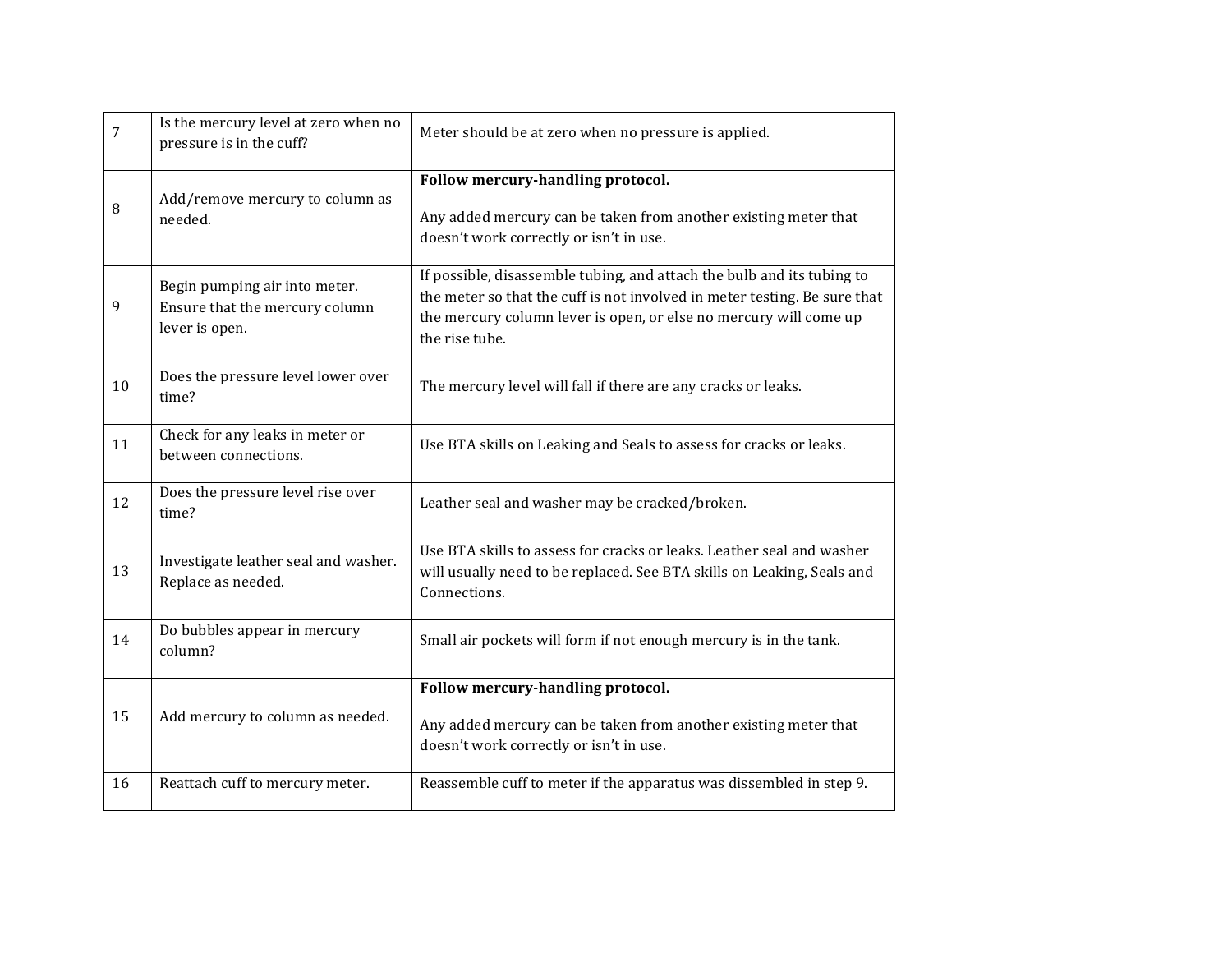| $\overline{7}$ | Is the mercury level at zero when no<br>pressure is in the cuff?                  | Meter should be at zero when no pressure is applied.                                                                                                                                                                                       |
|----------------|-----------------------------------------------------------------------------------|--------------------------------------------------------------------------------------------------------------------------------------------------------------------------------------------------------------------------------------------|
| $\, 8$         | Add/remove mercury to column as<br>needed.                                        | Follow mercury-handling protocol.                                                                                                                                                                                                          |
|                |                                                                                   | Any added mercury can be taken from another existing meter that<br>doesn't work correctly or isn't in use.                                                                                                                                 |
| 9              | Begin pumping air into meter.<br>Ensure that the mercury column<br>lever is open. | If possible, disassemble tubing, and attach the bulb and its tubing to<br>the meter so that the cuff is not involved in meter testing. Be sure that<br>the mercury column lever is open, or else no mercury will come up<br>the rise tube. |
| $10\,$         | Does the pressure level lower over<br>time?                                       | The mercury level will fall if there are any cracks or leaks.                                                                                                                                                                              |
| 11             | Check for any leaks in meter or<br>between connections.                           | Use BTA skills on Leaking and Seals to assess for cracks or leaks.                                                                                                                                                                         |
| 12             | Does the pressure level rise over<br>time?                                        | Leather seal and washer may be cracked/broken.                                                                                                                                                                                             |
| 13             | Investigate leather seal and washer.<br>Replace as needed.                        | Use BTA skills to assess for cracks or leaks. Leather seal and washer<br>will usually need to be replaced. See BTA skills on Leaking, Seals and<br>Connections.                                                                            |
| 14             | Do bubbles appear in mercury<br>column?                                           | Small air pockets will form if not enough mercury is in the tank.                                                                                                                                                                          |
|                |                                                                                   | Follow mercury-handling protocol.                                                                                                                                                                                                          |
| 15             | Add mercury to column as needed.                                                  | Any added mercury can be taken from another existing meter that<br>doesn't work correctly or isn't in use.                                                                                                                                 |
| 16             | Reattach cuff to mercury meter.                                                   | Reassemble cuff to meter if the apparatus was dissembled in step 9.                                                                                                                                                                        |
|                |                                                                                   |                                                                                                                                                                                                                                            |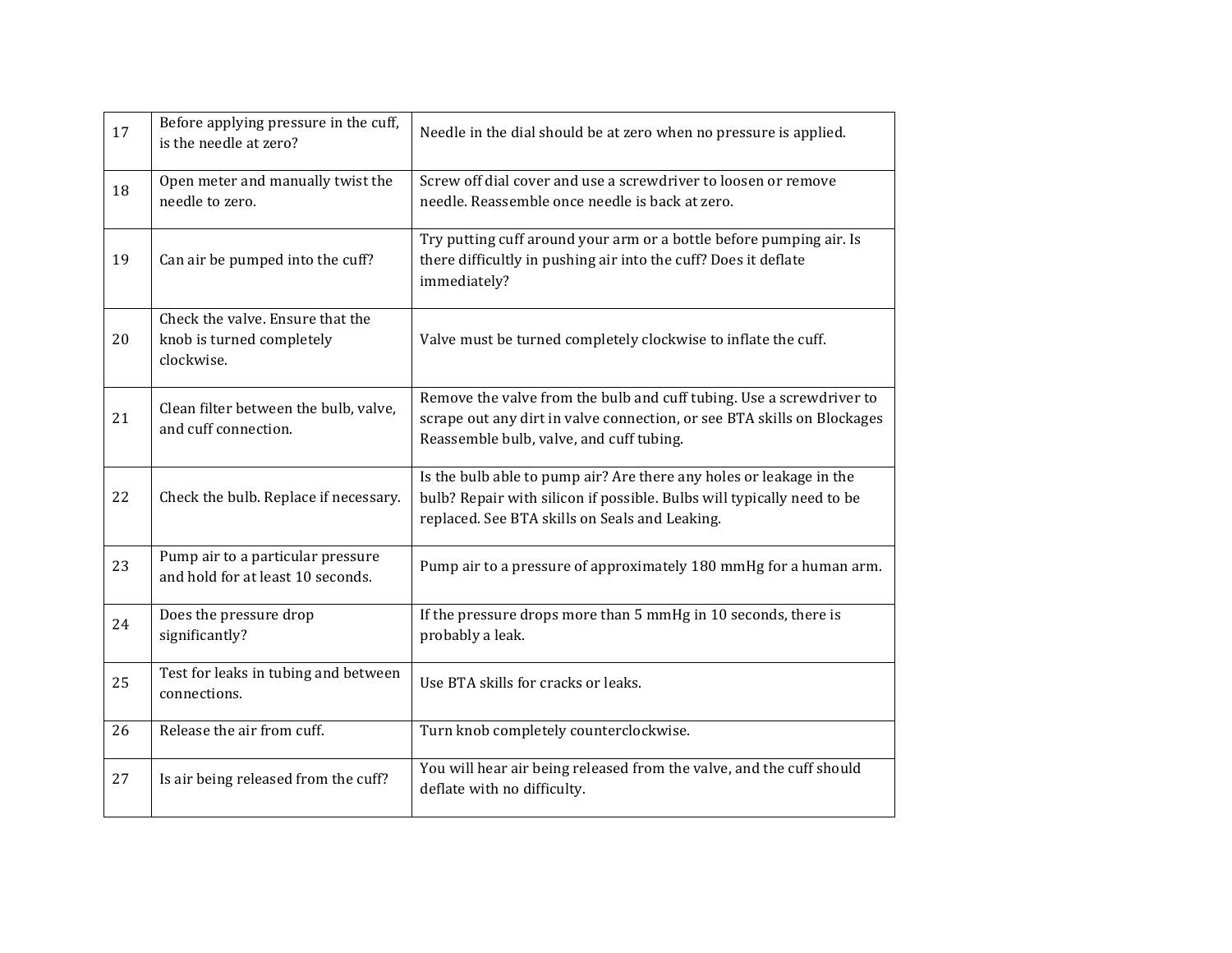| 17 | Before applying pressure in the cuff,<br>is the needle at zero?             | Needle in the dial should be at zero when no pressure is applied.                                                                                                                               |
|----|-----------------------------------------------------------------------------|-------------------------------------------------------------------------------------------------------------------------------------------------------------------------------------------------|
| 18 | Open meter and manually twist the<br>needle to zero.                        | Screw off dial cover and use a screwdriver to loosen or remove<br>needle. Reassemble once needle is back at zero.                                                                               |
| 19 | Can air be pumped into the cuff?                                            | Try putting cuff around your arm or a bottle before pumping air. Is<br>there difficultly in pushing air into the cuff? Does it deflate<br>immediately?                                          |
| 20 | Check the valve. Ensure that the<br>knob is turned completely<br>clockwise. | Valve must be turned completely clockwise to inflate the cuff.                                                                                                                                  |
| 21 | Clean filter between the bulb, valve,<br>and cuff connection.               | Remove the valve from the bulb and cuff tubing. Use a screwdriver to<br>scrape out any dirt in valve connection, or see BTA skills on Blockages<br>Reassemble bulb, valve, and cuff tubing.     |
| 22 | Check the bulb. Replace if necessary.                                       | Is the bulb able to pump air? Are there any holes or leakage in the<br>bulb? Repair with silicon if possible. Bulbs will typically need to be<br>replaced. See BTA skills on Seals and Leaking. |
| 23 | Pump air to a particular pressure<br>and hold for at least 10 seconds.      | Pump air to a pressure of approximately 180 mmHg for a human arm.                                                                                                                               |
| 24 | Does the pressure drop<br>significantly?                                    | If the pressure drops more than 5 mmHg in 10 seconds, there is<br>probably a leak.                                                                                                              |
| 25 | Test for leaks in tubing and between<br>connections.                        | Use BTA skills for cracks or leaks.                                                                                                                                                             |
| 26 | Release the air from cuff.                                                  | Turn knob completely counterclockwise.                                                                                                                                                          |
| 27 | Is air being released from the cuff?                                        | You will hear air being released from the valve, and the cuff should<br>deflate with no difficulty.                                                                                             |